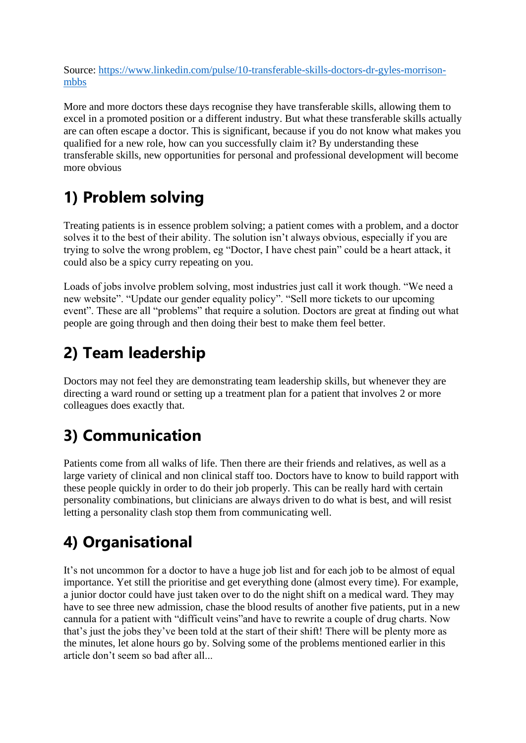Source: [https://www.linkedin.com/pulse/10-transferable-skills-doctors-dr-gyles-morrison](https://www.linkedin.com/pulse/10-transferable-skills-doctors-dr-gyles-morrison-mbbs)[mbbs](https://www.linkedin.com/pulse/10-transferable-skills-doctors-dr-gyles-morrison-mbbs)

More and more doctors these days recognise they have transferable skills, allowing them to excel in a promoted position or a different industry. But what these transferable skills actually are can often escape a doctor. This is significant, because if you do not know what makes you qualified for a new role, how can you successfully claim it? By understanding these transferable skills, new opportunities for personal and professional development will become more obvious

## **1) Problem solving**

Treating patients is in essence problem solving; a patient comes with a problem, and a doctor solves it to the best of their ability. The solution isn't always obvious, especially if you are trying to solve the wrong problem, eg "Doctor, I have chest pain" could be a heart attack, it could also be a spicy curry repeating on you.

Loads of jobs involve problem solving, most industries just call it work though. "We need a new website". "Update our gender equality policy". "Sell more tickets to our upcoming event". These are all "problems" that require a solution. Doctors are great at finding out what people are going through and then doing their best to make them feel better.

### **2) Team leadership**

Doctors may not feel they are demonstrating team leadership skills, but whenever they are directing a ward round or setting up a treatment plan for a patient that involves 2 or more colleagues does exactly that.

## **3) Communication**

Patients come from all walks of life. Then there are their friends and relatives, as well as a large variety of clinical and non clinical staff too. Doctors have to know to build rapport with these people quickly in order to do their job properly. This can be really hard with certain personality combinations, but clinicians are always driven to do what is best, and will resist letting a personality clash stop them from communicating well.

## **4) Organisational**

It's not uncommon for a doctor to have a huge job list and for each job to be almost of equal importance. Yet still the prioritise and get everything done (almost every time). For example, a junior doctor could have just taken over to do the night shift on a medical ward. They may have to see three new admission, chase the blood results of another five patients, put in a new cannula for a patient with "difficult veins"and have to rewrite a couple of drug charts. Now that's just the jobs they've been told at the start of their shift! There will be plenty more as the minutes, let alone hours go by. Solving some of the problems mentioned earlier in this article don't seem so bad after all...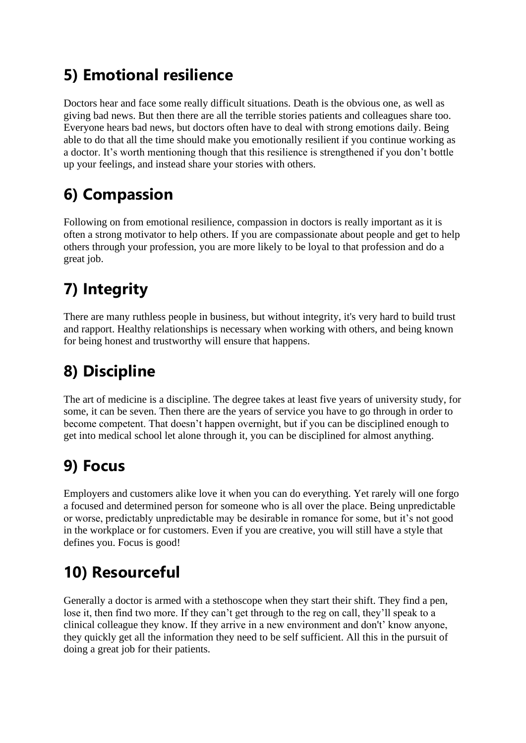### **5) Emotional resilience**

Doctors hear and face some really difficult situations. Death is the obvious one, as well as giving bad news. But then there are all the terrible stories patients and colleagues share too. Everyone hears bad news, but doctors often have to deal with strong emotions daily. Being able to do that all the time should make you emotionally resilient if you continue working as a doctor. It's worth mentioning though that this resilience is strengthened if you don't bottle up your feelings, and instead share your stories with others.

## **6) Compassion**

Following on from emotional resilience, compassion in doctors is really important as it is often a strong motivator to help others. If you are compassionate about people and get to help others through your profession, you are more likely to be loyal to that profession and do a great job.

# **7) Integrity**

There are many ruthless people in business, but without integrity, it's very hard to build trust and rapport. Healthy relationships is necessary when working with others, and being known for being honest and trustworthy will ensure that happens.

# **8) Discipline**

The art of medicine is a discipline. The degree takes at least five years of university study, for some, it can be seven. Then there are the years of service you have to go through in order to become competent. That doesn't happen overnight, but if you can be disciplined enough to get into medical school let alone through it, you can be disciplined for almost anything.

## **9) Focus**

Employers and customers alike love it when you can do everything. Yet rarely will one forgo a focused and determined person for someone who is all over the place. Being unpredictable or worse, predictably unpredictable may be desirable in romance for some, but it's not good in the workplace or for customers. Even if you are creative, you will still have a style that defines you. Focus is good!

## **10) Resourceful**

Generally a doctor is armed with a stethoscope when they start their shift. They find a pen, lose it, then find two more. If they can't get through to the reg on call, they'll speak to a clinical colleague they know. If they arrive in a new environment and don't' know anyone, they quickly get all the information they need to be self sufficient. All this in the pursuit of doing a great job for their patients.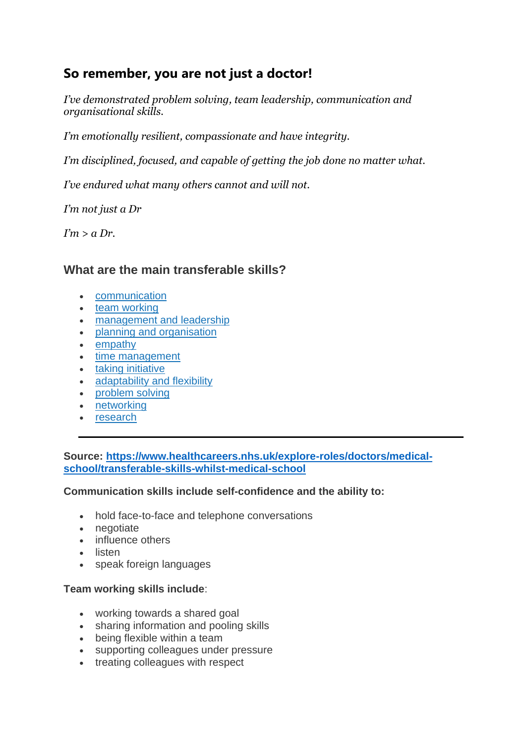### **So remember, you are not just a doctor!**

*I've demonstrated problem solving, team leadership, communication and organisational skills.*

*I'm emotionally resilient, compassionate and have integrity.*

*I'm disciplined, focused, and capable of getting the job done no matter what.*

*I've endured what many others cannot and will not.*

*I'm not just a Dr*

*I'm > a Dr.*

### **What are the main transferable skills?**

- [communication](https://www.healthcareers.nhs.uk/explore-roles/doctors/medical-school/transferable-skills-whilst-medical-school#Information,%20advice%20and%20support%20specifically%20aimed%20at%20doctors%20and%20medical%20students%20can%20also%20be%20accessed%20from%20organisations%20and%20websites%20such%20as:)
- [team working](https://www.healthcareers.nhs.uk/explore-roles/doctors/medical-school/transferable-skills-whilst-medical-school#Team%20working%20skills%20include)
- [management and leadership](https://www.healthcareers.nhs.uk/explore-roles/doctors/medical-school/transferable-skills-whilst-medical-school#Management%20and%20leadership%20can%20include:)
- [planning and organisation](https://www.healthcareers.nhs.uk/explore-roles/doctors/medical-school/transferable-skills-whilst-medical-school#Planning%20and%20organisation%20can%20include:)
- [empathy](https://www.healthcareers.nhs.uk/explore-roles/doctors/medical-school/transferable-skills-whilst-medical-school#Empathy%20involves:)
- [time management](https://www.healthcareers.nhs.uk/explore-roles/doctors/medical-school/transferable-skills-whilst-medical-school#Time%20management%20involves:)
- [taking initiative](https://www.healthcareers.nhs.uk/explore-roles/doctors/medical-school/transferable-skills-whilst-medical-school#Taking%20initiative%20can%20involve:)
- [adaptability and flexibility](https://www.healthcareers.nhs.uk/explore-roles/doctors/medical-school/transferable-skills-whilst-medical-school#Adaptability%20and%20flexibility%20can%20include:)
- [problem solving](https://www.healthcareers.nhs.uk/explore-roles/doctors/medical-school/transferable-skills-whilst-medical-school#Problem-solving%20can%20involve:)
- [networking](https://www.healthcareers.nhs.uk/explore-roles/doctors/medical-school/transferable-skills-whilst-medical-school#Networking%20includes:)
- [research](https://www.healthcareers.nhs.uk/explore-roles/doctors/medical-school/transferable-skills-whilst-medical-school#Research%20skills%20involve:)

**Source: [https://www.healthcareers.nhs.uk/explore-roles/doctors/medical](https://www.healthcareers.nhs.uk/explore-roles/doctors/medical-school/transferable-skills-whilst-medical-school)[school/transferable-skills-whilst-medical-school](https://www.healthcareers.nhs.uk/explore-roles/doctors/medical-school/transferable-skills-whilst-medical-school)**

### **Communication skills include self-confidence and the ability to:**

- hold face-to-face and telephone conversations
- negotiate
- influence others
- listen
- speak foreign languages

### **Team working skills include**:

- working towards a shared goal
- sharing information and pooling skills
- being flexible within a team
- supporting colleagues under pressure
- treating colleagues with respect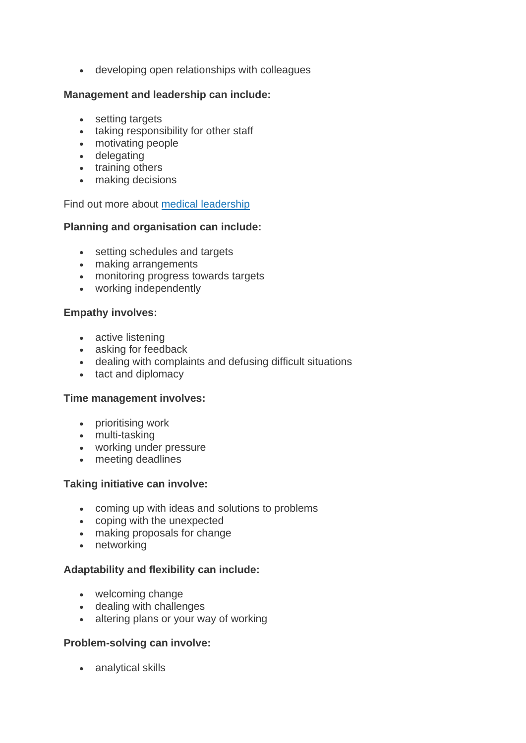• developing open relationships with colleagues

### **Management and leadership can include:**

- setting targets
- taking responsibility for other staff
- motivating people
- delegating
- training others
- making decisions

Find out more about [medical leadership](https://www.healthcareers.nhs.uk/i-am/considering-or-university/studying-be-doctor/medical-school/medical-leadership)

### **Planning and organisation can include:**

- setting schedules and targets
- making arrangements
- monitoring progress towards targets
- working independently

### **Empathy involves:**

- active listening
- asking for feedback
- dealing with complaints and defusing difficult situations
- tact and diplomacy

#### **Time management involves:**

- prioritising work
- multi-tasking
- working under pressure
- meeting deadlines

#### **Taking initiative can involve:**

- coming up with ideas and solutions to problems
- coping with the unexpected
- making proposals for change
- networking

### **Adaptability and flexibility can include:**

- welcoming change
- dealing with challenges
- altering plans or your way of working

#### **Problem-solving can involve:**

• analytical skills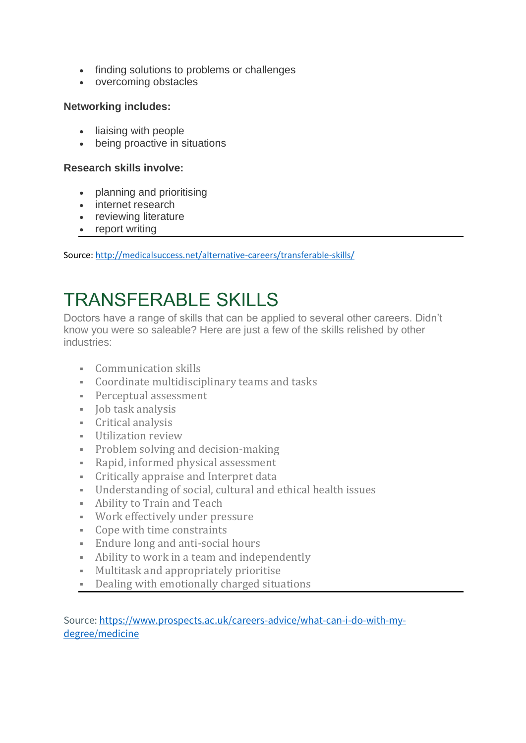- finding solutions to problems or challenges
- overcoming obstacles

### **Networking includes:**

- liaising with people
- being proactive in situations

#### **Research skills involve:**

- planning and prioritising
- internet research
- reviewing literature
- report writing

Source: <http://medicalsuccess.net/alternative-careers/transferable-skills/>

# TRANSFERABLE SKILLS

Doctors have a range of skills that can be applied to several other careers. Didn't know you were so saleable? Here are just a few of the skills relished by other industries:

- Communication skills
- Coordinate multidisciplinary teams and tasks
- **•** Perceptual assessment
- Job task analysis
- Critical analysis
- Utilization review
- Problem solving and decision-making
- Rapid, informed physical assessment
- Critically appraise and Interpret data
- Understanding of social, cultural and ethical health issues
- Ability to Train and Teach
- Work effectively under pressure
- Cope with time constraints
- Endure long and anti-social hours
- Ability to work in a team and independently
- Multitask and appropriately prioritise
- Dealing with emotionally charged situations

Source[: https://www.prospects.ac.uk/careers-advice/what-can-i-do-with-my](https://www.prospects.ac.uk/careers-advice/what-can-i-do-with-my-degree/medicine)[degree/medicine](https://www.prospects.ac.uk/careers-advice/what-can-i-do-with-my-degree/medicine)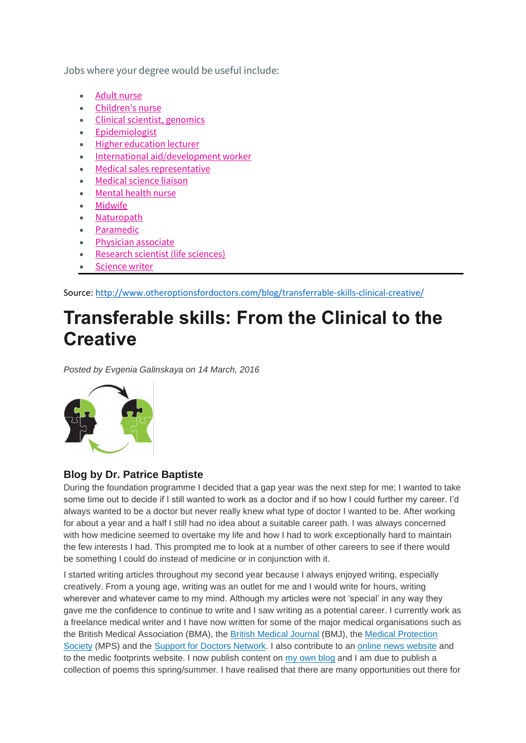Jobs where your degree would be useful include:

- [Adult nurse](https://www.prospects.ac.uk/job-profiles/adult-nurse)
- [Children's nurse](https://www.prospects.ac.uk/job-profiles/paediatric-nurse)
- [Clinical scientist, genomics](https://www.prospects.ac.uk/job-profiles/clinical-scientist-genomics)
- [Epidemiologist](https://www.prospects.ac.uk/job-profiles/epidemiologist)
- [Higher education lecturer](https://www.prospects.ac.uk/job-profiles/higher-education-lecturer)
- [International aid/development worker](https://www.prospects.ac.uk/job-profiles/international-aid-development-worker)
- [Medical sales representative](https://www.prospects.ac.uk/job-profiles/medical-sales-representative)
- [Medical science liaison](https://www.prospects.ac.uk/job-profiles/medical-science-liaison)
- [Mental health nurse](https://www.prospects.ac.uk/job-profiles/mental-health-nurse)
- **[Midwife](https://www.prospects.ac.uk/job-profiles/midwife)**
- [Naturopath](https://www.prospects.ac.uk/job-profiles/naturopath)
- [Paramedic](https://www.prospects.ac.uk/job-profiles/paramedic)
- [Physician associate](https://www.prospects.ac.uk/job-profiles/physician-associate)
- [Research scientist \(life sciences\)](https://www.prospects.ac.uk/job-profiles/research-scientist-life-sciences)
- [Science writer](https://www.prospects.ac.uk/job-profiles/science-writer)

Source:<http://www.otheroptionsfordoctors.com/blog/transferrable-skills-clinical-creative/>

# **Transferable skills: From the Clinical to the Creative**

*Posted by Evgenia Galinskaya on 14 March, 2016*



#### **Blog by Dr. Patrice Baptiste**

During the foundation programme I decided that a gap year was the next step for me; I wanted to take some time out to decide if I still wanted to work as a doctor and if so how I could further my career. I'd always wanted to be a doctor but never really knew what type of doctor I wanted to be. After working for about a year and a half I still had no idea about a suitable career path. I was always concerned with how medicine seemed to overtake my life and how I had to work exceptionally hard to maintain the few interests I had. This prompted me to look at a number of other careers to see if there would be something I could do instead of medicine or in conjunction with it.

I started writing articles throughout my second year because I always enjoyed writing, especially creatively. From a young age, writing was an outlet for me and I would write for hours, writing wherever and whatever came to my mind. Although my articles were not 'special' in any way they gave me the confidence to continue to write and I saw writing as a potential career. I currently work as a freelance medical writer and I have now written for some of the major medical organisations such as the British Medical Association (BMA), the British [Medical](http://blogs.bmj.com/bmj/2016/02/01/patrice-baptiste-what-is-the-future-of-the-nhs-or-is-medicine-losing-its-appeal/) Journal (BMJ), the Medical [Protection](http://www.medicalprotection.org/uk/for-members/doctors-in-training/new-doctor-articles/new-doctor-articles/tales-from-the-wards-f2-in-the-surgical-high-dependency-unit) [Society](http://www.medicalprotection.org/uk/for-members/doctors-in-training/new-doctor-articles/new-doctor-articles/tales-from-the-wards-f2-in-the-surgical-high-dependency-unit) (MPS) and the Support for Doctors [Network.](http://www.support4doctors.org/detail.php/86/mental-health-issues-among-doctors?category_id=16&subcategory_id=493) I also contribute to an online news [website](http://www.thecanary.co/author/patrice/) and to the medic footprints website. I now publish content on my own [blog](http://www.infinitypages.wordpress.com/about-me) and I am due to publish a collection of poems this spring/summer. I have realised that there are many opportunities out there for